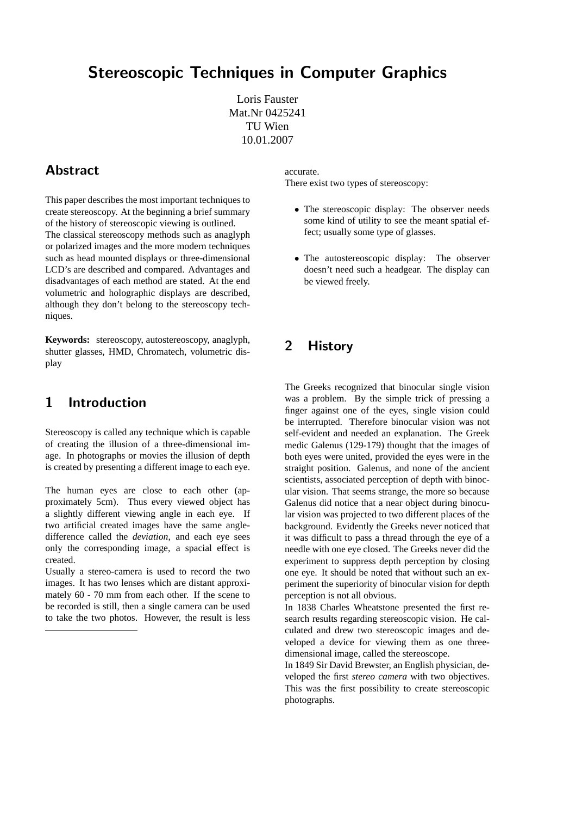# Stereoscopic Techniques in Computer Graphics

Loris Fauster Mat.Nr 0425241 TU Wien 10.01.2007

## Abstract

This paper describes the most important techniques to create stereoscopy. At the beginning a brief summary of the history of stereoscopic viewing is outlined. The classical stereoscopy methods such as anaglyph or polarized images and the more modern techniques such as head mounted displays or three-dimensional LCD's are described and compared. Advantages and disadvantages of each method are stated. At the end volumetric and holographic displays are described, although they don't belong to the stereoscopy techniques.

**Keywords:** stereoscopy, autostereoscopy, anaglyph, shutter glasses, HMD, Chromatech, volumetric display

### 1 Introduction

Stereoscopy is called any technique which is capable of creating the illusion of a three-dimensional image. In photographs or movies the illusion of depth is created by presenting a different image to each eye.

The human eyes are close to each other (approximately 5cm). Thus every viewed object has a slightly different viewing angle in each eye. If two artificial created images have the same angledifference called the *deviation*, and each eye sees only the corresponding image, a spacial effect is created.

Usually a stereo-camera is used to record the two images. It has two lenses which are distant approximately 60 - 70 mm from each other. If the scene to be recorded is still, then a single camera can be used to take the two photos. However, the result is less accurate.

There exist two types of stereoscopy:

- The stereoscopic display: The observer needs some kind of utility to see the meant spatial effect; usually some type of glasses.
- The autostereoscopic display: The observer doesn't need such a headgear. The display can be viewed freely.

## 2 History

The Greeks recognized that binocular single vision was a problem. By the simple trick of pressing a finger against one of the eyes, single vision could be interrupted. Therefore binocular vision was not self-evident and needed an explanation. The Greek medic Galenus (129-179) thought that the images of both eyes were united, provided the eyes were in the straight position. Galenus, and none of the ancient scientists, associated perception of depth with binocular vision. That seems strange, the more so because Galenus did notice that a near object during binocular vision was projected to two different places of the background. Evidently the Greeks never noticed that it was difficult to pass a thread through the eye of a needle with one eye closed. The Greeks never did the experiment to suppress depth perception by closing one eye. It should be noted that without such an experiment the superiority of binocular vision for depth perception is not all obvious.

In 1838 Charles Wheatstone presented the first research results regarding stereoscopic vision. He calculated and drew two stereoscopic images and developed a device for viewing them as one threedimensional image, called the stereoscope.

In 1849 Sir David Brewster, an English physician, developed the first *stereo camera* with two objectives. This was the first possibility to create stereoscopic photographs.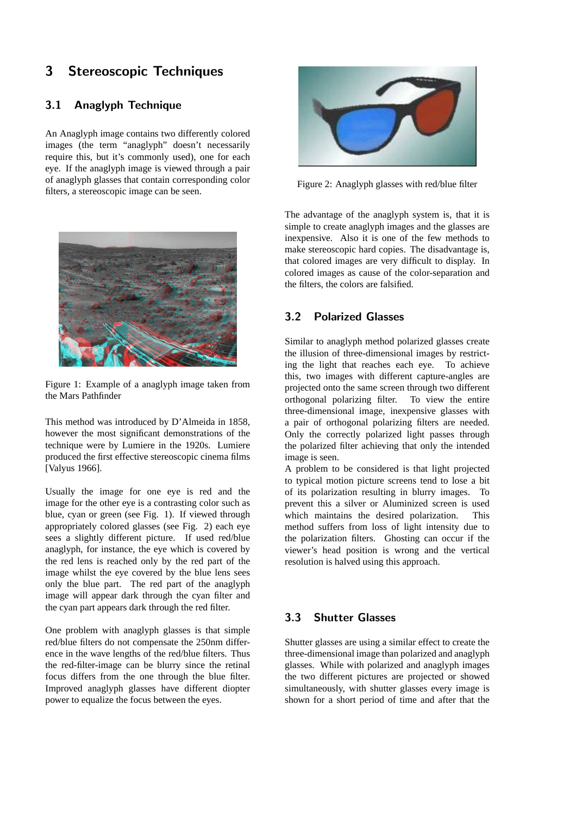# 3 Stereoscopic Techniques

### 3.1 Anaglyph Technique

An Anaglyph image contains two differently colored images (the term "anaglyph" doesn't necessarily require this, but it's commonly used), one for each eye. If the anaglyph image is viewed through a pair of anaglyph glasses that contain corresponding color filters, a stereoscopic image can be seen.



Figure 1: Example of a anaglyph image taken from the Mars Pathfinder

This method was introduced by D'Almeida in 1858, however the most significant demonstrations of the technique were by Lumiere in the 1920s. Lumiere produced the first effective stereoscopic cinema films [Valyus 1966].

Usually the image for one eye is red and the image for the other eye is a contrasting color such as blue, cyan or green (see Fig. 1). If viewed through appropriately colored glasses (see Fig. 2) each eye sees a slightly different picture. If used red/blue anaglyph, for instance, the eye which is covered by the red lens is reached only by the red part of the image whilst the eye covered by the blue lens sees only the blue part. The red part of the anaglyph image will appear dark through the cyan filter and the cyan part appears dark through the red filter.

One problem with anaglyph glasses is that simple red/blue filters do not compensate the 250nm difference in the wave lengths of the red/blue filters. Thus the red-filter-image can be blurry since the retinal focus differs from the one through the blue filter. Improved anaglyph glasses have different diopter power to equalize the focus between the eyes.



Figure 2: Anaglyph glasses with red/blue filter

The advantage of the anaglyph system is, that it is simple to create anaglyph images and the glasses are inexpensive. Also it is one of the few methods to make stereoscopic hard copies. The disadvantage is, that colored images are very difficult to display. In colored images as cause of the color-separation and the filters, the colors are falsified.

#### 3.2 Polarized Glasses

Similar to anaglyph method polarized glasses create the illusion of three-dimensional images by restricting the light that reaches each eye. To achieve this, two images with different capture-angles are projected onto the same screen through two different orthogonal polarizing filter. To view the entire three-dimensional image, inexpensive glasses with a pair of orthogonal polarizing filters are needed. Only the correctly polarized light passes through the polarized filter achieving that only the intended image is seen.

A problem to be considered is that light projected to typical motion picture screens tend to lose a bit of its polarization resulting in blurry images. To prevent this a silver or Aluminized screen is used which maintains the desired polarization. This method suffers from loss of light intensity due to the polarization filters. Ghosting can occur if the viewer's head position is wrong and the vertical resolution is halved using this approach.

#### 3.3 Shutter Glasses

Shutter glasses are using a similar effect to create the three-dimensional image than polarized and anaglyph glasses. While with polarized and anaglyph images the two different pictures are projected or showed simultaneously, with shutter glasses every image is shown for a short period of time and after that the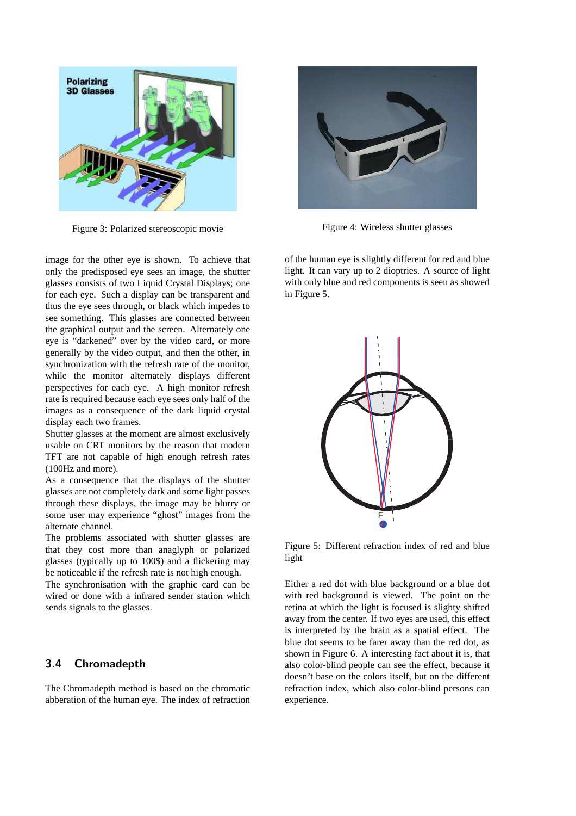

Figure 3: Polarized stereoscopic movie

image for the other eye is shown. To achieve that only the predisposed eye sees an image, the shutter glasses consists of two Liquid Crystal Displays; one for each eye. Such a display can be transparent and thus the eye sees through, or black which impedes to see something. This glasses are connected between the graphical output and the screen. Alternately one eye is "darkened" over by the video card, or more generally by the video output, and then the other, in synchronization with the refresh rate of the monitor, while the monitor alternately displays different perspectives for each eye. A high monitor refresh rate is required because each eye sees only half of the images as a consequence of the dark liquid crystal display each two frames.

Shutter glasses at the moment are almost exclusively usable on CRT monitors by the reason that modern TFT are not capable of high enough refresh rates (100Hz and more).

As a consequence that the displays of the shutter glasses are not completely dark and some light passes through these displays, the image may be blurry or some user may experience "ghost" images from the alternate channel.

The problems associated with shutter glasses are that they cost more than anaglyph or polarized glasses (typically up to 100\$) and a flickering may be noticeable if the refresh rate is not high enough.

The synchronisation with the graphic card can be wired or done with a infrared sender station which sends signals to the glasses.

#### 3.4 Chromadepth

The Chromadepth method is based on the chromatic abberation of the human eye. The index of refraction



Figure 4: Wireless shutter glasses

of the human eye is slightly different for red and blue light. It can vary up to 2 dioptries. A source of light with only blue and red components is seen as showed in Figure 5.



Figure 5: Different refraction index of red and blue light

Either a red dot with blue background or a blue dot with red background is viewed. The point on the retina at which the light is focused is slighty shifted away from the center. If two eyes are used, this effect is interpreted by the brain as a spatial effect. The blue dot seems to be farer away than the red dot, as shown in Figure 6. A interesting fact about it is, that also color-blind people can see the effect, because it doesn't base on the colors itself, but on the different refraction index, which also color-blind persons can experience.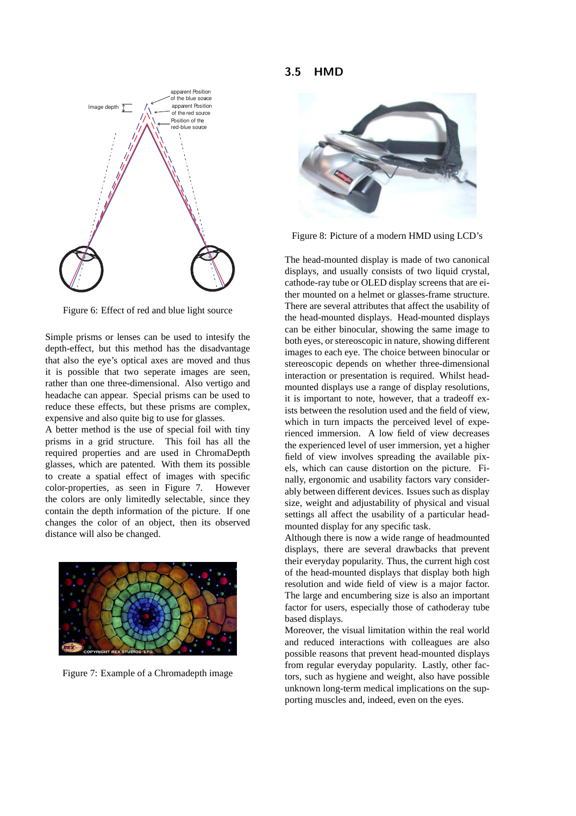3.5 HMD



Figure 6: Effect of red and blue light source

Simple prisms or lenses can be used to intesify the depth-effect, but this method has the disadvantage that also the eye's optical axes are moved and thus it is possible that two seperate images are seen, rather than one three-dimensional. Also vertigo and headache can appear. Special prisms can be used to reduce these effects, but these prisms are complex, expensive and also quite big to use for glasses.

A better method is the use of special foil with tiny prisms in a grid structure. This foil has all the required properties and are used in ChromaDepth glasses, which are patented. With them its possible to create a spatial effect of images with specific color-properties, as seen in Figure 7. However the colors are only limitedly selectable, since they contain the depth information of the picture. If one changes the color of an object, then its observed distance will also be changed.



Figure 7: Example of a Chromadepth image



Figure 8: Picture of a modern HMD using LCD's

The head-mounted display is made of two canonical displays, and usually consists of two liquid crystal, cathode-ray tube or OLED display screens that are either mounted on a helmet or glasses-frame structure. There are several attributes that affect the usability of the head-mounted displays. Head-mounted displays can be either binocular, showing the same image to both eyes, or stereoscopic in nature, showing different images to each eye. The choice between binocular or stereoscopic depends on whether three-dimensional interaction or presentation is required. Whilst headmounted displays use a range of display resolutions, it is important to note, however, that a tradeoff exists between the resolution used and the field of view, which in turn impacts the perceived level of experienced immersion. A low field of view decreases the experienced level of user immersion, yet a higher field of view involves spreading the available pixels, which can cause distortion on the picture. Finally, ergonomic and usability factors vary considerably between different devices. Issues such as display size, weight and adjustability of physical and visual settings all affect the usability of a particular headmounted display for any specific task.

Although there is now a wide range of headmounted displays, there are several drawbacks that prevent their everyday popularity. Thus, the current high cost of the head-mounted displays that display both high resolution and wide field of view is a major factor. The large and encumbering size is also an important factor for users, especially those of cathoderay tube based displays.

Moreover, the visual limitation within the real world and reduced interactions with colleagues are also possible reasons that prevent head-mounted displays from regular everyday popularity. Lastly, other factors, such as hygiene and weight, also have possible unknown long-term medical implications on the supporting muscles and, indeed, even on the eyes.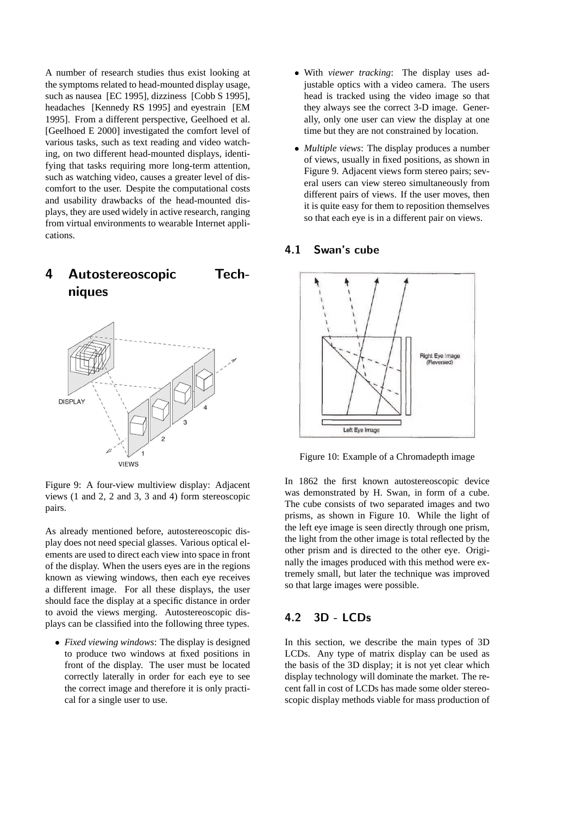A number of research studies thus exist looking at the symptoms related to head-mounted display usage, such as nausea [EC 1995], dizziness [Cobb S 1995], headaches [Kennedy RS 1995] and eyestrain [EM 1995]. From a different perspective, Geelhoed et al. [Geelhoed E 2000] investigated the comfort level of various tasks, such as text reading and video watching, on two different head-mounted displays, identifying that tasks requiring more long-term attention. such as watching video, causes a greater level of discomfort to the user. Despite the computational costs and usability drawbacks of the head-mounted displays, they are used widely in active research, ranging from virtual environments to wearable Internet applications.





Figure 9: A four-view multiview display: Adjacent views (1 and 2, 2 and 3, 3 and 4) form stereoscopic pairs.

As already mentioned before, autostereoscopic display does not need special glasses. Various optical elements are used to direct each view into space in front of the display. When the users eyes are in the regions known as viewing windows, then each eye receives a different image. For all these displays, the user should face the display at a specific distance in order to avoid the views merging. Autostereoscopic displays can be classified into the following three types.

• *Fixed viewing windows*: The display is designed to produce two windows at fixed positions in front of the display. The user must be located correctly laterally in order for each eye to see the correct image and therefore it is only practical for a single user to use.

- With *viewer tracking*: The display uses adjustable optics with a video camera. The users head is tracked using the video image so that they always see the correct 3-D image. Generally, only one user can view the display at one time but they are not constrained by location.
- *Multiple views*: The display produces a number of views, usually in fixed positions, as shown in Figure 9. Adjacent views form stereo pairs; several users can view stereo simultaneously from different pairs of views. If the user moves, then it is quite easy for them to reposition themselves so that each eye is in a different pair on views.

#### 4.1 Swan's cube



Figure 10: Example of a Chromadepth image

In 1862 the first known autostereoscopic device was demonstrated by H. Swan, in form of a cube. The cube consists of two separated images and two prisms, as shown in Figure 10. While the light of the left eye image is seen directly through one prism, the light from the other image is total reflected by the other prism and is directed to the other eye. Originally the images produced with this method were extremely small, but later the technique was improved so that large images were possible.

#### 4.2 3D - LCDs

In this section, we describe the main types of 3D LCDs. Any type of matrix display can be used as the basis of the 3D display; it is not yet clear which display technology will dominate the market. The recent fall in cost of LCDs has made some older stereoscopic display methods viable for mass production of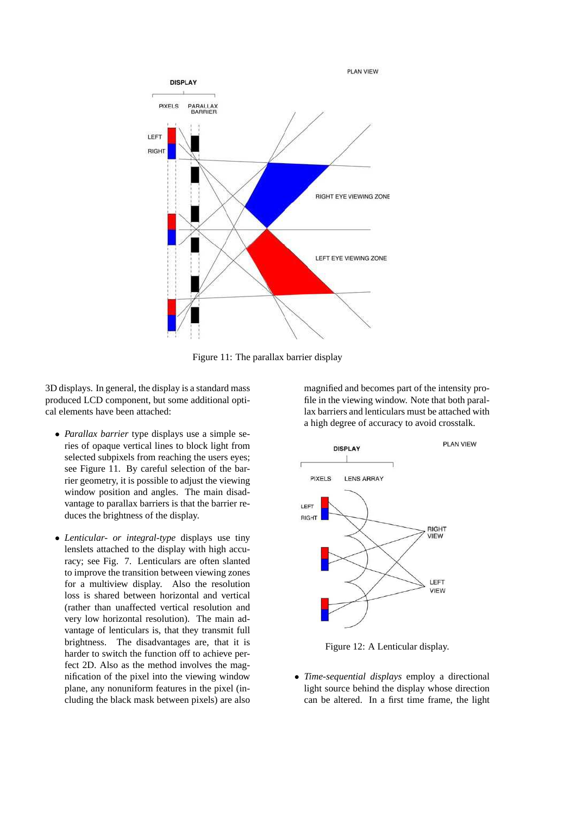

Figure 11: The parallax barrier display

3D displays. In general, the display is a standard mass produced LCD component, but some additional optical elements have been attached:

- *Parallax barrier* type displays use a simple series of opaque vertical lines to block light from selected subpixels from reaching the users eyes; see Figure 11. By careful selection of the barrier geometry, it is possible to adjust the viewing window position and angles. The main disadvantage to parallax barriers is that the barrier reduces the brightness of the display.
- *Lenticular- or integral-type* displays use tiny lenslets attached to the display with high accuracy; see Fig. 7. Lenticulars are often slanted to improve the transition between viewing zones for a multiview display. Also the resolution loss is shared between horizontal and vertical (rather than unaffected vertical resolution and very low horizontal resolution). The main advantage of lenticulars is, that they transmit full brightness. The disadvantages are, that it is harder to switch the function off to achieve perfect 2D. Also as the method involves the magnification of the pixel into the viewing window plane, any nonuniform features in the pixel (including the black mask between pixels) are also

magnified and becomes part of the intensity profile in the viewing window. Note that both parallax barriers and lenticulars must be attached with a high degree of accuracy to avoid crosstalk.



Figure 12: A Lenticular display.

• *Time-sequential displays* employ a directional light source behind the display whose direction can be altered. In a first time frame, the light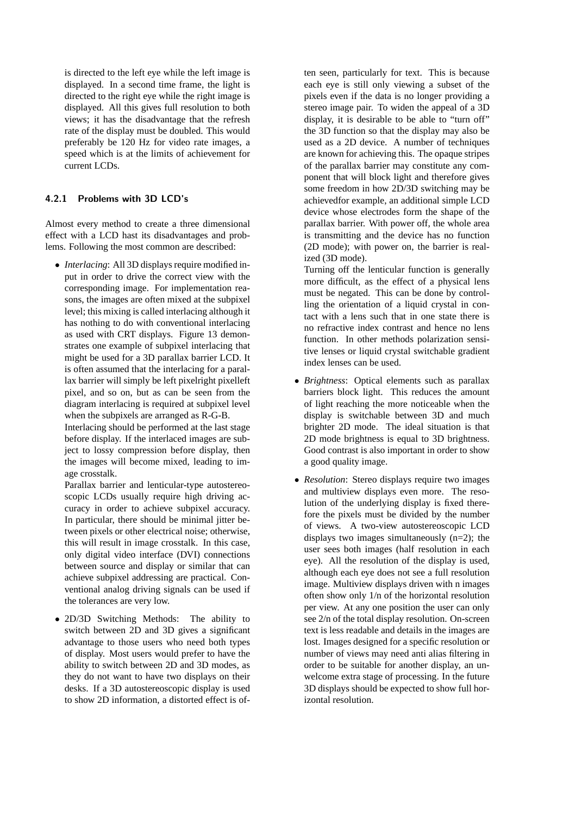is directed to the left eye while the left image is displayed. In a second time frame, the light is directed to the right eye while the right image is displayed. All this gives full resolution to both views; it has the disadvantage that the refresh rate of the display must be doubled. This would preferably be 120 Hz for video rate images, a speed which is at the limits of achievement for current LCDs.

#### 4.2.1 Problems with 3D LCD's

Almost every method to create a three dimensional effect with a LCD hast its disadvantages and problems. Following the most common are described:

• *Interlacing*: All 3D displays require modified input in order to drive the correct view with the corresponding image. For implementation reasons, the images are often mixed at the subpixel level; this mixing is called interlacing although it has nothing to do with conventional interlacing as used with CRT displays. Figure 13 demonstrates one example of subpixel interlacing that might be used for a 3D parallax barrier LCD. It is often assumed that the interlacing for a parallax barrier will simply be left pixelright pixelleft pixel, and so on, but as can be seen from the diagram interlacing is required at subpixel level when the subpixels are arranged as R-G-B.

Interlacing should be performed at the last stage before display. If the interlaced images are subject to lossy compression before display, then the images will become mixed, leading to image crosstalk.

Parallax barrier and lenticular-type autostereoscopic LCDs usually require high driving accuracy in order to achieve subpixel accuracy. In particular, there should be minimal jitter between pixels or other electrical noise; otherwise, this will result in image crosstalk. In this case, only digital video interface (DVI) connections between source and display or similar that can achieve subpixel addressing are practical. Conventional analog driving signals can be used if the tolerances are very low.

• 2D/3D Switching Methods: The ability to switch between 2D and 3D gives a significant advantage to those users who need both types of display. Most users would prefer to have the ability to switch between 2D and 3D modes, as they do not want to have two displays on their desks. If a 3D autostereoscopic display is used to show 2D information, a distorted effect is often seen, particularly for text. This is because each eye is still only viewing a subset of the pixels even if the data is no longer providing a stereo image pair. To widen the appeal of a 3D display, it is desirable to be able to "turn off" the 3D function so that the display may also be used as a 2D device. A number of techniques are known for achieving this. The opaque stripes of the parallax barrier may constitute any component that will block light and therefore gives some freedom in how 2D/3D switching may be achievedfor example, an additional simple LCD device whose electrodes form the shape of the parallax barrier. With power off, the whole area is transmitting and the device has no function (2D mode); with power on, the barrier is realized (3D mode).

Turning off the lenticular function is generally more difficult, as the effect of a physical lens must be negated. This can be done by controlling the orientation of a liquid crystal in contact with a lens such that in one state there is no refractive index contrast and hence no lens function. In other methods polarization sensitive lenses or liquid crystal switchable gradient index lenses can be used.

- *Brightness*: Optical elements such as parallax barriers block light. This reduces the amount of light reaching the more noticeable when the display is switchable between 3D and much brighter 2D mode. The ideal situation is that 2D mode brightness is equal to 3D brightness. Good contrast is also important in order to show a good quality image.
- *Resolution*: Stereo displays require two images and multiview displays even more. The resolution of the underlying display is fixed therefore the pixels must be divided by the number of views. A two-view autostereoscopic LCD displays two images simultaneously (n=2); the user sees both images (half resolution in each eye). All the resolution of the display is used, although each eye does not see a full resolution image. Multiview displays driven with n images often show only 1/n of the horizontal resolution per view. At any one position the user can only see 2/n of the total display resolution. On-screen text is less readable and details in the images are lost. Images designed for a specific resolution or number of views may need anti alias filtering in order to be suitable for another display, an unwelcome extra stage of processing. In the future 3D displays should be expected to show full horizontal resolution.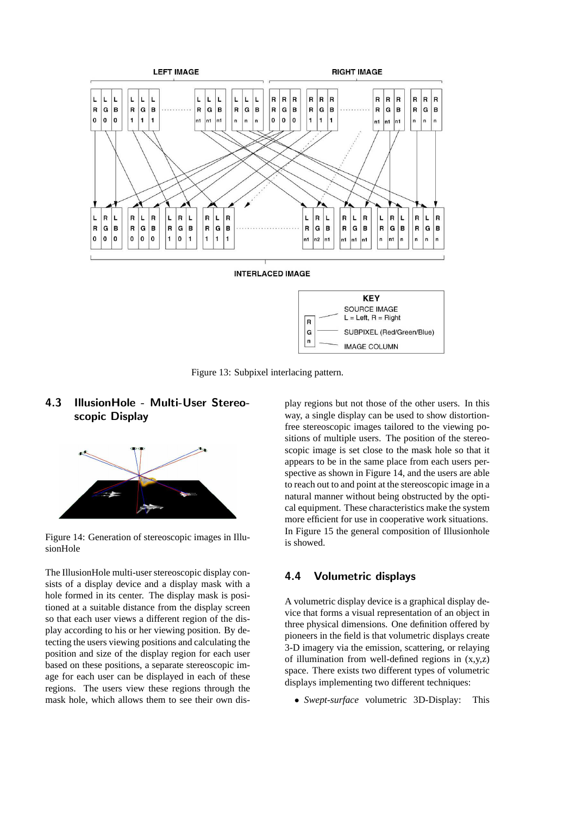

Figure 13: Subpixel interlacing pattern.

### 4.3 IllusionHole - Multi-User Stereoscopic Display



Figure 14: Generation of stereoscopic images in IllusionHole

The IllusionHole multi-user stereoscopic display consists of a display device and a display mask with a hole formed in its center. The display mask is positioned at a suitable distance from the display screen so that each user views a different region of the display according to his or her viewing position. By detecting the users viewing positions and calculating the position and size of the display region for each user based on these positions, a separate stereoscopic image for each user can be displayed in each of these regions. The users view these regions through the mask hole, which allows them to see their own display regions but not those of the other users. In this way, a single display can be used to show distortionfree stereoscopic images tailored to the viewing positions of multiple users. The position of the stereoscopic image is set close to the mask hole so that it appears to be in the same place from each users perspective as shown in Figure 14, and the users are able to reach out to and point at the stereoscopic image in a natural manner without being obstructed by the optical equipment. These characteristics make the system more efficient for use in cooperative work situations. In Figure 15 the general composition of Illusionhole is showed.

#### 4.4 Volumetric displays

A volumetric display device is a graphical display device that forms a visual representation of an object in three physical dimensions. One definition offered by pioneers in the field is that volumetric displays create 3-D imagery via the emission, scattering, or relaying of illumination from well-defined regions in (x,y,z) space. There exists two different types of volumetric displays implementing two different techniques:

• *Swept-surface* volumetric 3D-Display: This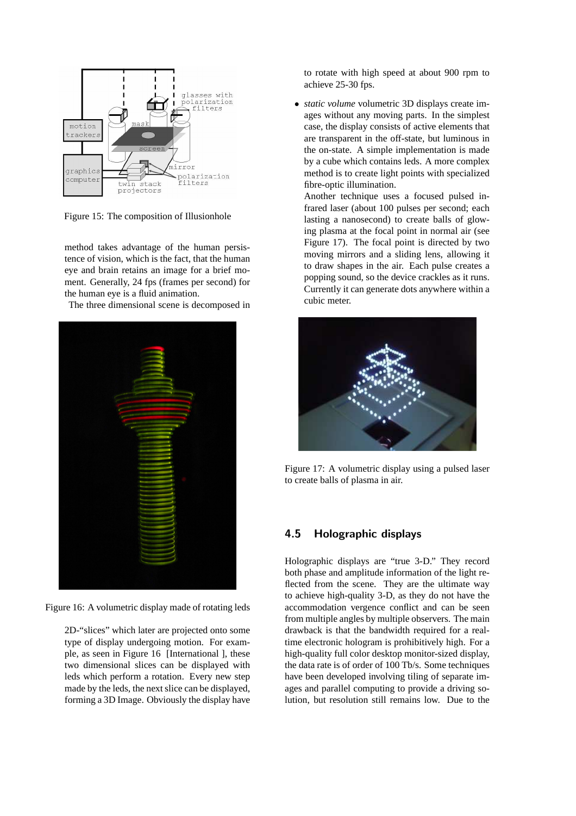

Figure 15: The composition of Illusionhole

method takes advantage of the human persistence of vision, which is the fact, that the human eye and brain retains an image for a brief moment. Generally, 24 fps (frames per second) for the human eye is a fluid animation.

The three dimensional scene is decomposed in



Figure 16: A volumetric display made of rotating leds

2D-"slices" which later are projected onto some type of display undergoing motion. For example, as seen in Figure 16 [International ], these two dimensional slices can be displayed with leds which perform a rotation. Every new step made by the leds, the next slice can be displayed, forming a 3D Image. Obviously the display have to rotate with high speed at about 900 rpm to achieve 25-30 fps.

• *static volume* volumetric 3D displays create images without any moving parts. In the simplest case, the display consists of active elements that are transparent in the off-state, but luminous in the on-state. A simple implementation is made by a cube which contains leds. A more complex method is to create light points with specialized fibre-optic illumination.

Another technique uses a focused pulsed infrared laser (about 100 pulses per second; each lasting a nanosecond) to create balls of glowing plasma at the focal point in normal air (see Figure 17). The focal point is directed by two moving mirrors and a sliding lens, allowing it to draw shapes in the air. Each pulse creates a popping sound, so the device crackles as it runs. Currently it can generate dots anywhere within a cubic meter.



Figure 17: A volumetric display using a pulsed laser to create balls of plasma in air.

#### 4.5 Holographic displays

Holographic displays are "true 3-D." They record both phase and amplitude information of the light reflected from the scene. They are the ultimate way to achieve high-quality 3-D, as they do not have the accommodation vergence conflict and can be seen from multiple angles by multiple observers. The main drawback is that the bandwidth required for a realtime electronic hologram is prohibitively high. For a high-quality full color desktop monitor-sized display, the data rate is of order of 100 Tb/s. Some techniques have been developed involving tiling of separate images and parallel computing to provide a driving solution, but resolution still remains low. Due to the